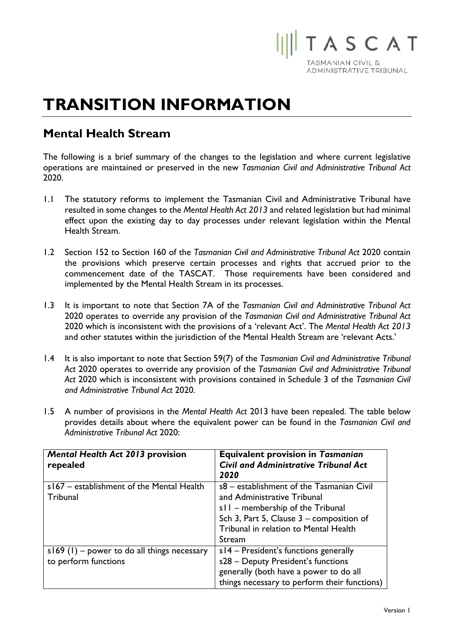

## **TRANSITION INFORMATION**

## **Mental Health Stream**

The following is a brief summary of the changes to the legislation and where current legislative operations are maintained or preserved in the new *Tasmanian Civil and Administrative Tribunal Act* 2020.

- 1.1 The statutory reforms to implement the Tasmanian Civil and Administrative Tribunal have resulted in some changes to the *Mental Health Act 2013* and related legislation but had minimal effect upon the existing day to day processes under relevant legislation within the Mental Health Stream.
- 1.2 Section 152 to Section 160 of the *Tasmanian Civil and Administrative Tribunal Act* 2020 contain the provisions which preserve certain processes and rights that accrued prior to the commencement date of the TASCAT. Those requirements have been considered and implemented by the Mental Health Stream in its processes.
- 1.3 It is important to note that Section 7A of the *Tasmanian Civil and Administrative Tribunal Act* 2020 operates to override any provision of the *Tasmanian Civil and Administrative Tribunal Act* 2020 which is inconsistent with the provisions of a 'relevant Act'. The *Mental Health Act 2013* and other statutes within the jurisdiction of the Mental Health Stream are 'relevant Acts.'
- 1.4 It is also important to note that Section 59(7) of the *Tasmanian Civil and Administrative Tribunal Act* 2020 operates to override any provision of the *Tasmanian Civil and Administrative Tribunal Act* 2020 which is inconsistent with provisions contained in Schedule 3 of the *Tasmanian Civil and Administrative Tribunal Act* 2020.
- 1.5 A number of provisions in the *Mental Health Act* 2013 have been repealed. The table below provides details about where the equivalent power can be found in the *Tasmanian Civil and Administrative Tribunal Act* 2020:

| <b>Mental Health Act 2013 provision</b><br>repealed                   | <b>Equivalent provision in Tasmanian</b><br><b>Civil and Administrative Tribunal Act</b><br>2020                                                                                                            |
|-----------------------------------------------------------------------|-------------------------------------------------------------------------------------------------------------------------------------------------------------------------------------------------------------|
| s167 - establishment of the Mental Health<br>Tribunal                 | s8 - establishment of the Tasmanian Civil<br>and Administrative Tribunal<br>s11 - membership of the Tribunal<br>Sch 3, Part 5, Clause 3 - composition of<br>Tribunal in relation to Mental Health<br>Stream |
| $s169$ (1) – power to do all things necessary<br>to perform functions | $s14$ – President's functions generally<br>s28 - Deputy President's functions<br>generally (both have a power to do all<br>things necessary to perform their functions)                                     |